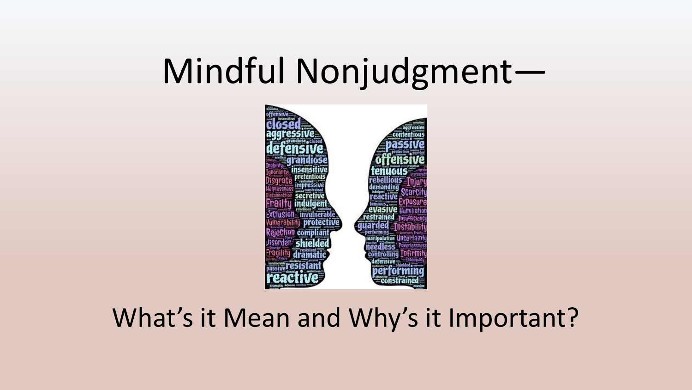## Mindful Nonjudgment-



#### What's it Mean and Why's it Important?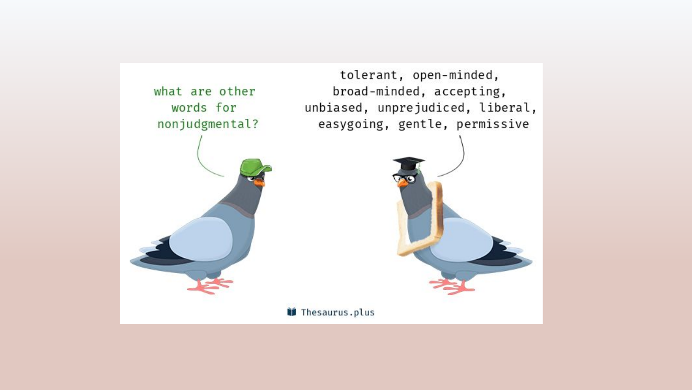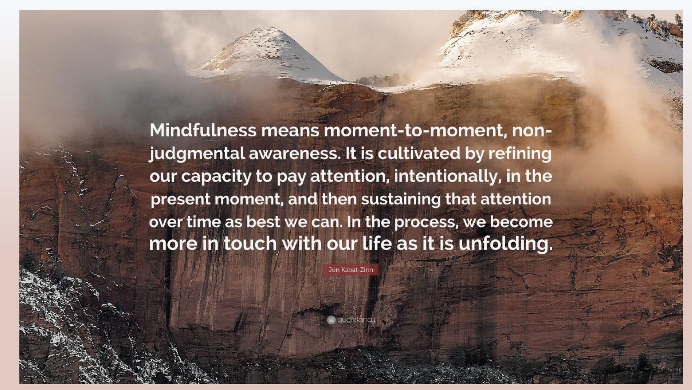Mindfulness means moment-to-moment, nonjudgmental awareness. It is cultivated by refining our capacity to pay attention, intentionally, in the present moment, and then sustaining that attention over time as best we can. In the process, we become more in touch with our life as it is unfolding.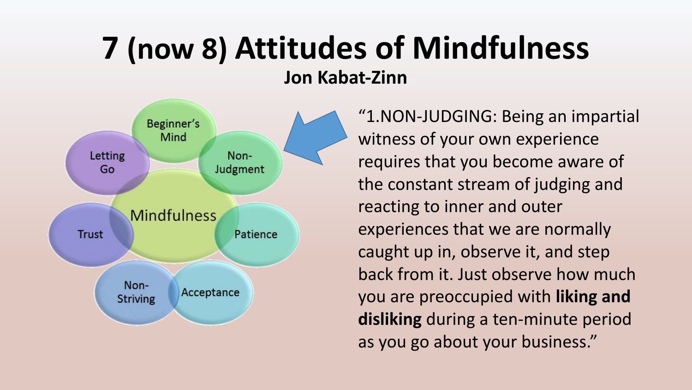## **7 (now 8) Attitudes of Mindfulness Jon Kabat-Zinn**



"1.NON-JUDGING: Being an impartial witness of your own experience requires that you become aware of the constant stream of judging and reacting to inner and outer experiences that we are normally caught up in, observe it, and step back from it. Just observe how much you are preoccupied with **liking and disliking** during a ten-minute period as you go about your business."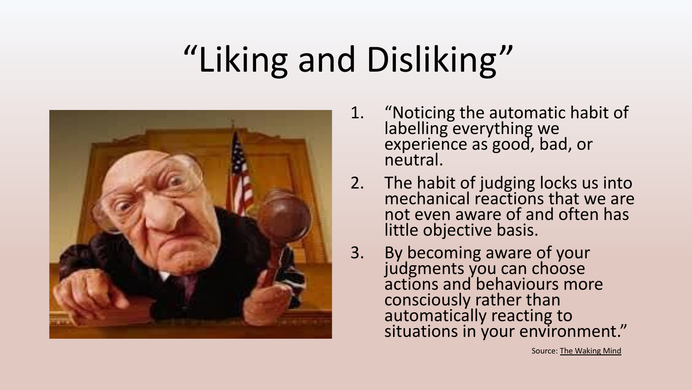# "Liking and Disliking"



- 1. "Noticing the automatic habit of labelling everything we experience as good, bad, or neutral.
- 2. The habit of judging locks us into mechanical reactions that we are not even aware of and often has little objective basis.
- 3. By becoming aware of your judgments you can choose actions and behaviours more consciously rather than automatically reacting to situations in your environment."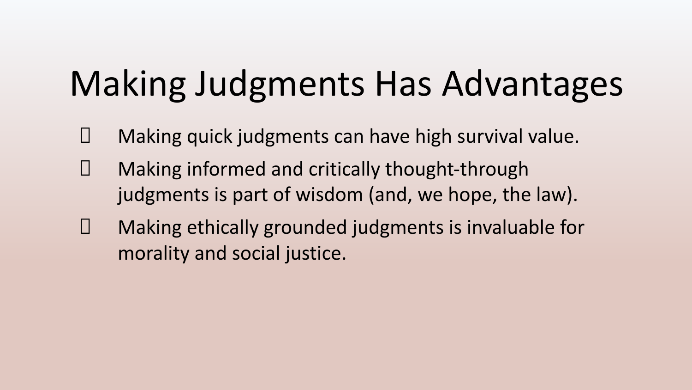# Making Judgments Has Advantages

- Making quick judgments can have high survival value.
- Making informed and critically thought-through judgments is part of wisdom (and, we hope, the law).
- Making ethically grounded judgments is invaluable for morality and social justice.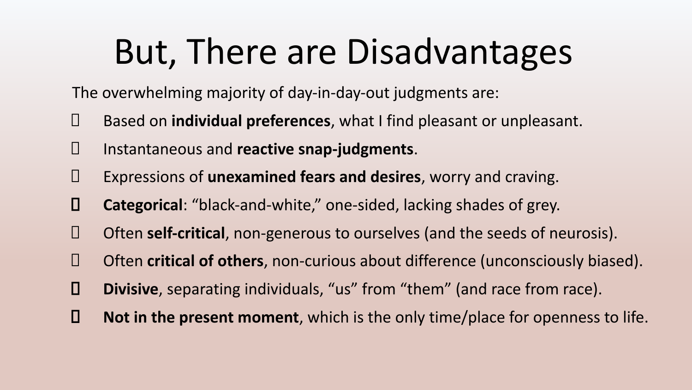## But, There are Disadvantages

The overwhelming majority of day-in-day-out judgments are:

- Based on **individual preferences**, what I find pleasant or unpleasant.
- Instantaneous and **reactive snap-judgments**.
- Expressions of **unexamined fears and desires**, worry and craving.
- **Categorical**: "black-and-white," one-sided, lacking shades of grey.
- Often **self-critical**, non-generous to ourselves (and the seeds of neurosis).
- Often **critical of others**, non-curious about difference (unconsciously biased).
- **Divisive**, separating individuals, "us" from "them" (and race from race).
- **Not in the present moment**, which is the only time/place for openness to life.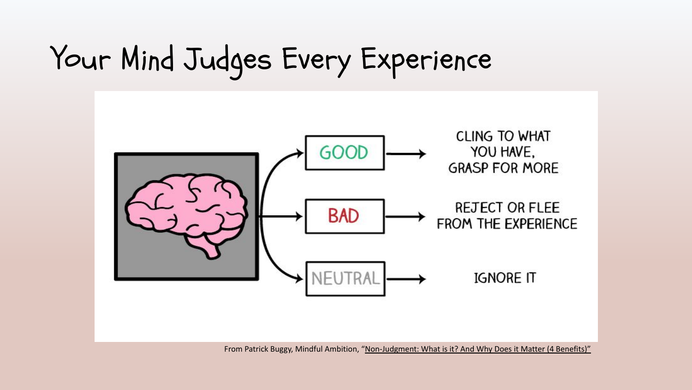## Your Mind Judges Every Experience



From Patrick Buggy, Mindful Ambition, ["Non-Judgment: What is it? And Why Does it Matter \(4 Benefits\)"](https://mindfulambition.net/non-judgment/)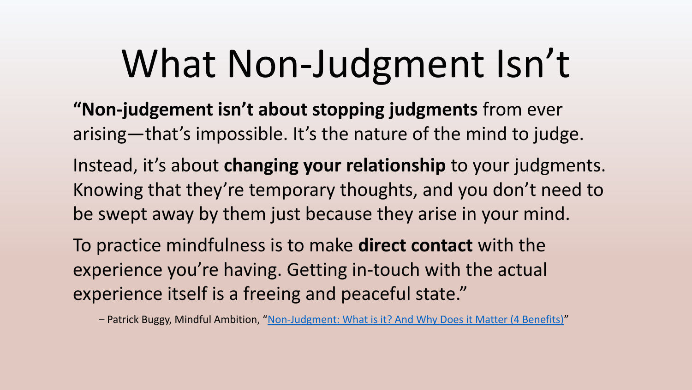# What Non-Judgment Isn't

**"Non-judgement isn't about stopping judgments** from ever arising—that's impossible. It's the nature of the mind to judge.

Instead, it's about **changing your relationship** to your judgments. Knowing that they're temporary thoughts, and you don't need to be swept away by them just because they arise in your mind.

To practice mindfulness is to make **direct contact** with the experience you're having. Getting in-touch with the actual experience itself is a freeing and peaceful state."

– Patrick Buggy, Mindful Ambition, ["Non-Judgment: What is it? And Why Does it Matter \(4 Benefits\)"](https://mindfulambition.net/non-judgment/)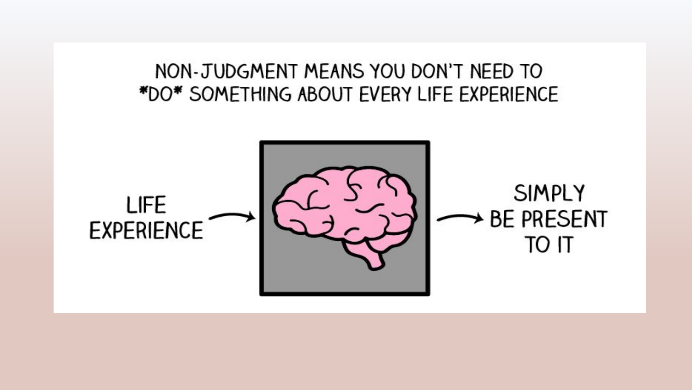#### NON-JUDGMENT MEANS YOU DON'T NEED TO \*DO\* SOMETHING ABOUT EVERY LIFE EXPERIENCE

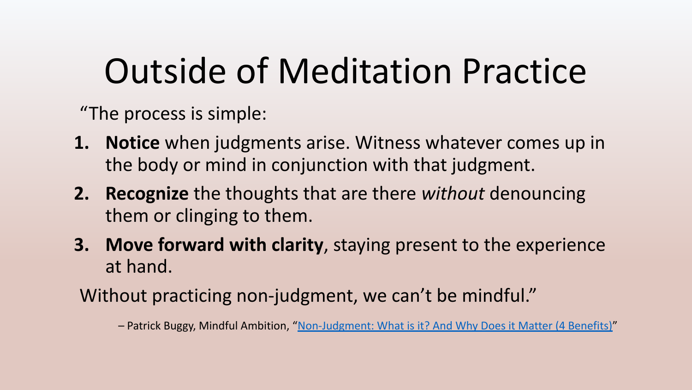## Outside of Meditation Practice

"The process is simple:

- **1. Notice** when judgments arise. Witness whatever comes up in the body or mind in conjunction with that judgment.
- **2. Recognize** the thoughts that are there *without* denouncing them or clinging to them.
- **3. Move forward with clarity**, staying present to the experience at hand.
- Without practicing non-judgment, we can't be mindful."

– Patrick Buggy, Mindful Ambition, "[Non-Judgment: What is it? And Why Does it Matter \(4 Benefits\)"](https://mindfulambition.net/non-judgment/)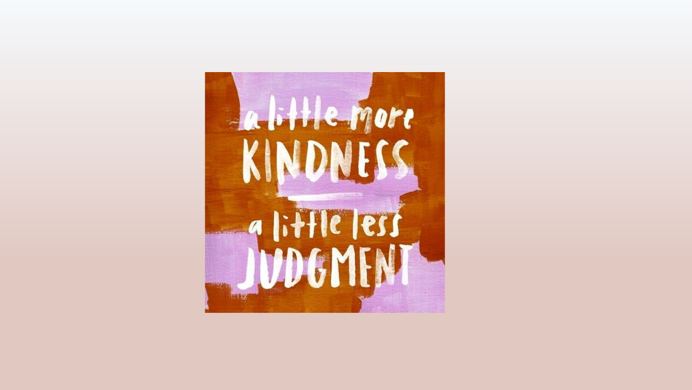